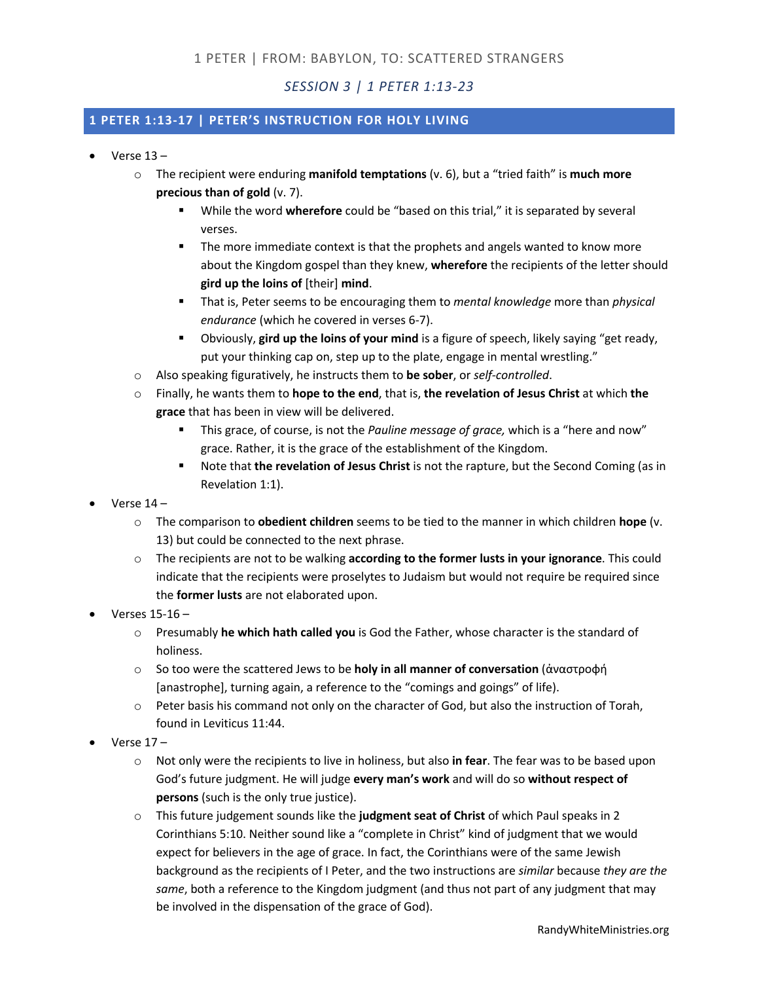*SESSION 3 | 1 PETER 1:13-23*

## **1 PETER 1:13-17 | PETER'S INSTRUCTION FOR HOLY LIVING**

- $\bullet$  Verse  $13$ 
	- o The recipient were enduring **manifold temptations** (v. 6), but a "tried faith" is **much more precious than of gold** (v. 7).
		- § While the word **wherefore** could be "based on this trial," it is separated by several verses.
		- **•** The more immediate context is that the prophets and angels wanted to know more about the Kingdom gospel than they knew, **wherefore** the recipients of the letter should **gird up the loins of** [their] **mind**.
		- § That is, Peter seems to be encouraging them to *mental knowledge* more than *physical endurance* (which he covered in verses 6-7).
		- § Obviously, **gird up the loins of your mind** is a figure of speech, likely saying "get ready, put your thinking cap on, step up to the plate, engage in mental wrestling."
	- o Also speaking figuratively, he instructs them to **be sober**, or *self-controlled*.
	- o Finally, he wants them to **hope to the end**, that is, **the revelation of Jesus Christ** at which **the grace** that has been in view will be delivered.
		- § This grace, of course, is not the *Pauline message of grace,* which is a "here and now" grace. Rather, it is the grace of the establishment of the Kingdom.
		- § Note that **the revelation of Jesus Christ** is not the rapture, but the Second Coming (as in Revelation 1:1).
- Verse 14
	- o The comparison to **obedient children** seems to be tied to the manner in which children **hope** (v. 13) but could be connected to the next phrase.
	- o The recipients are not to be walking **according to the former lusts in your ignorance**. This could indicate that the recipients were proselytes to Judaism but would not require be required since the **former lusts** are not elaborated upon.
- Verses 15-16
	- o Presumably **he which hath called you** is God the Father, whose character is the standard of holiness.
	- o So too were the scattered Jews to be **holy in all manner of conversation** (ἀναστροφή [anastrophe], turning again, a reference to the "comings and goings" of life).
	- $\circ$  Peter basis his command not only on the character of God, but also the instruction of Torah, found in Leviticus 11:44.
- Verse 17
	- o Not only were the recipients to live in holiness, but also **in fear**. The fear was to be based upon God's future judgment. He will judge **every man's work** and will do so **without respect of persons** (such is the only true justice).
	- o This future judgement sounds like the **judgment seat of Christ** of which Paul speaks in 2 Corinthians 5:10. Neither sound like a "complete in Christ" kind of judgment that we would expect for believers in the age of grace. In fact, the Corinthians were of the same Jewish background as the recipients of I Peter, and the two instructions are *similar* because *they are the same*, both a reference to the Kingdom judgment (and thus not part of any judgment that may be involved in the dispensation of the grace of God).